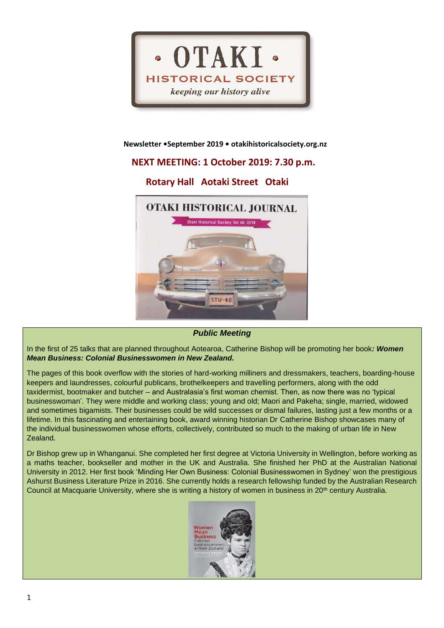

#### **Newsletter •September 2019 • otakihistoricalsociety.org.nz**

# **NEXT MEETING: 1 October 2019: 7.30 p.m.**

# **Rotary Hall Aotaki Street Otaki**



## *Public Meeting*

In the first of 25 talks that are planned throughout Aotearoa, Catherine Bishop will be promoting her book*: Women Mean Business: Colonial Businesswomen in New Zealand.*

The pages of this book overflow with the stories of hard-working milliners and dressmakers, teachers, boarding-house keepers and laundresses, colourful publicans, brothelkeepers and travelling performers, along with the odd taxidermist, bootmaker and butcher – and Australasia's first woman chemist. Then, as now there was no 'typical businesswoman'. They were middle and working class; young and old; Maori and Pakeha; single, married, widowed and sometimes bigamists. Their businesses could be wild successes or dismal failures, lasting just a few months or a lifetime. In this fascinating and entertaining book, award winning historian Dr Catherine Bishop showcases many of the individual businesswomen whose efforts, collectively, contributed so much to the making of urban life in New Zealand.

Dr Bishop grew up in Whanganui. She completed her first degree at Victoria University in Wellington, before working as a maths teacher, bookseller and mother in the UK and Australia. She finished her PhD at the Australian National University in 2012. Her first book 'Minding Her Own Business: Colonial Businesswomen in Sydney' won the prestigious Ashurst Business Literature Prize in 2016. She currently holds a research fellowship funded by the Australian Research Council at Macquarie University, where she is writing a history of women in business in 20<sup>th</sup> century Australia.

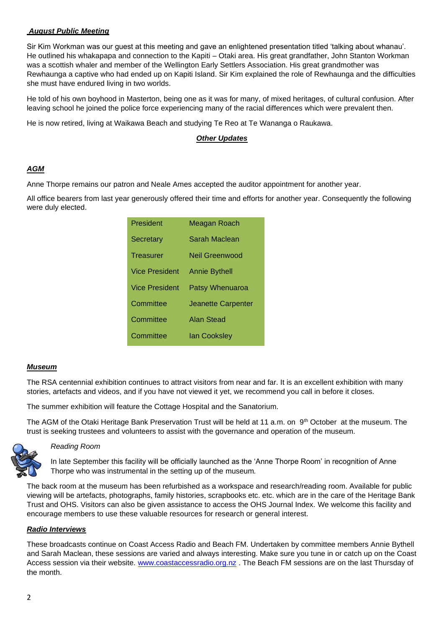# *August Public Meeting*

Sir Kim Workman was our guest at this meeting and gave an enlightened presentation titled 'talking about whanau'. He outlined his whakapapa and connection to the Kapiti – Otaki area. His great grandfather, John Stanton Workman was a scottish whaler and member of the Wellington Early Settlers Association. His great grandmother was Rewhaunga a captive who had ended up on Kapiti Island. Sir Kim explained the role of Rewhaunga and the difficulties she must have endured living in two worlds.

He told of his own boyhood in Masterton, being one as it was for many, of mixed heritages, of cultural confusion. After leaving school he joined the police force experiencing many of the racial differences which were prevalent then.

He is now retired, living at Waikawa Beach and studying Te Reo at Te Wananga o Raukawa.

## *Other Updates*

# *AGM*

Anne Thorpe remains our patron and Neale Ames accepted the auditor appointment for another year.

All office bearers from last year generously offered their time and efforts for another year. Consequently the following were duly elected.

| President             | Meagan Roach         |
|-----------------------|----------------------|
| Secretary             | Sarah Maclean        |
| Treasurer             | Neil Greenwood       |
| <b>Vice President</b> | <b>Annie Bythell</b> |
| Vice President        | Patsy Whenuaroa      |
| Committee             | Jeanette Carpenter   |
| Committee             | <b>Alan Stead</b>    |
| Committee             | <b>Ian Cooksley</b>  |

## *Museum*

The RSA centennial exhibition continues to attract visitors from near and far. It is an excellent exhibition with many stories, artefacts and videos, and if you have not viewed it yet, we recommend you call in before it closes.

The summer exhibition will feature the Cottage Hospital and the Sanatorium.

The AGM of the Otaki Heritage Bank Preservation Trust will be held at 11 a.m. on  $9<sup>th</sup>$  October at the museum. The trust is seeking trustees and volunteers to assist with the governance and operation of the museum.



#### *Reading Room*

In late September this facility will be officially launched as the 'Anne Thorpe Room' in recognition of Anne Thorpe who was instrumental in the setting up of the museum*.* 

The back room at the museum has been refurbished as a workspace and research/reading room. Available for public viewing will be artefacts, photographs, family histories, scrapbooks etc. etc. which are in the care of the Heritage Bank Trust and OHS. Visitors can also be given assistance to access the OHS Journal Index. We welcome this facility and encourage members to use these valuable resources for research or general interest.

## *Radio Interviews*

These broadcasts continue on Coast Access Radio and Beach FM. Undertaken by committee members Annie Bythell and Sarah Maclean, these sessions are varied and always interesting. Make sure you tune in or catch up on the Coast Access session via their website. [www.coastaccessradio.org.nz](http://www.coastaccessradio.org.nz/). The Beach FM sessions are on the last Thursday of the month.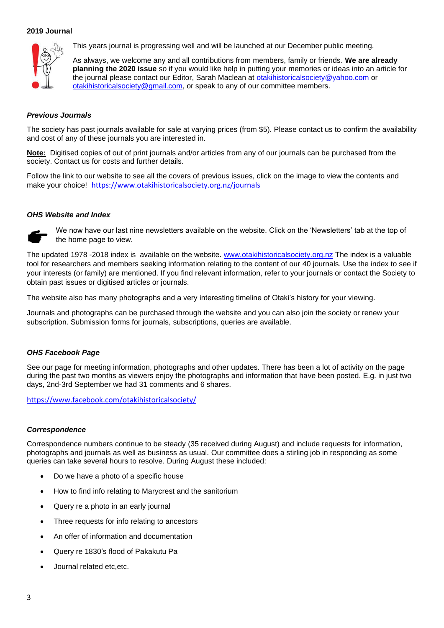#### **2019 Journal**



This years journal is progressing well and will be launched at our December public meeting.

As always, we welcome any and all contributions from members, family or friends. **We are already planning the 2020 issue** so if you would like help in putting your memories or ideas into an article for the journal please contact our Editor, Sarah Maclean at [otakihistoricalsociety@yahoo.com](mailto:otakihistoricalsociety@yahoo.com) or [otakihistoricalsociety@gmail.com,](mailto:otakihistoricalsociety@gmail.com) or speak to any of our committee members.

### *Previous Journals*

The society has past journals available for sale at varying prices (from \$5). Please contact us to confirm the availability and cost of any of these journals you are interested in.

**Note:** Digitised copies of out of print journals and/or articles from any of our journals can be purchased from the society. Contact us for costs and further details.

Follow the link to our website to see all the covers of previous issues, click on the image to view the contents and make your choice! <https://www.otakihistoricalsociety.org.nz/journals>

#### *OHS Website and Index*



We now have our last nine newsletters available on the website. Click on the 'Newsletters' tab at the top of the home page to view.

The updated 1978 -2018 index is available on the website. [www.otakihistoricalsociety.org.nz](http://www.otakihistoricalsociety.org.nz/) The index is a valuable tool for researchers and members seeking information relating to the content of our 40 journals. Use the index to see if your interests (or family) are mentioned. If you find relevant information, refer to your journals or contact the Society to obtain past issues or digitised articles or journals.

The website also has many photographs and a very interesting timeline of Otaki's history for your viewing.

Journals and photographs can be purchased through the website and you can also join the society or renew your subscription. Submission forms for journals, subscriptions, queries are available.

## *OHS Facebook Page*

See our page for meeting information, photographs and other updates. There has been a lot of activity on the page during the past two months as viewers enjoy the photographs and information that have been posted. E.g. in just two days, 2nd-3rd September we had 31 comments and 6 shares.

<https://www.facebook.com/otakihistoricalsociety/>

#### *Correspondence*

Correspondence numbers continue to be steady (35 received during August) and include requests for information, photographs and journals as well as business as usual. Our committee does a stirling job in responding as some queries can take several hours to resolve. During August these included:

- Do we have a photo of a specific house
- How to find info relating to Marycrest and the sanitorium
- Query re a photo in an early journal
- Three requests for info relating to ancestors
- An offer of information and documentation
- Query re 1830's flood of Pakakutu Pa
- Journal related etc,etc.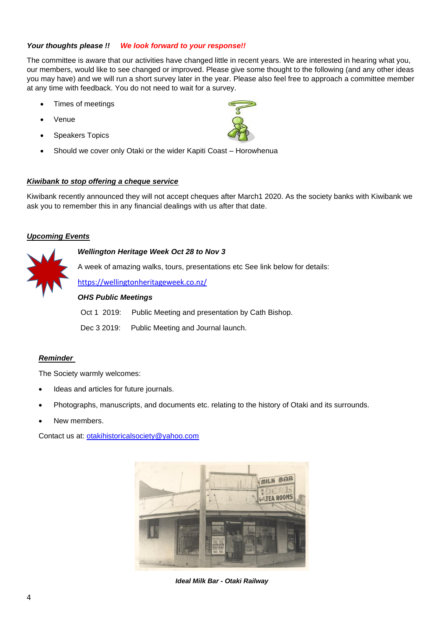# *Your thoughts please !! We look forward to your response!!*

The committee is aware that our activities have changed little in recent years. We are interested in hearing what you, our members, would like to see changed or improved. Please give some thought to the following (and any other ideas you may have) and we will run a short survey later in the year. Please also feel free to approach a committee member at any time with feedback. You do not need to wait for a survey.

- Times of meetings
- **Venue**
- Speakers Topics
- Should we cover only Otaki or the wider Kapiti Coast Horowhenua

# *Kiwibank to stop offering a cheque service*

Kiwibank recently announced they will not accept cheques after March1 2020. As the society banks with Kiwibank we ask you to remember this in any financial dealings with us after that date.

# *Upcoming Events*

*Wellington Heritage Week Oct 28 to Nov 3*

A week of amazing walks, tours, presentations etc See link below for details:

<https://wellingtonheritageweek.co.nz/>

## *OHS Public Meetings*

Oct 1 2019: Public Meeting and presentation by Cath Bishop.

Dec 3 2019: Public Meeting and Journal launch.

# *Reminder*

The Society warmly welcomes:

- Ideas and articles for future journals.
- Photographs, manuscripts, and documents etc. relating to the history of Otaki and its surrounds.
- New members.

Contact us at: [otakihistoricalsociety@yahoo.com](mailto:otakihistoricalsociety@yahoo.com)



*Ideal Milk Bar - Otaki Railway*

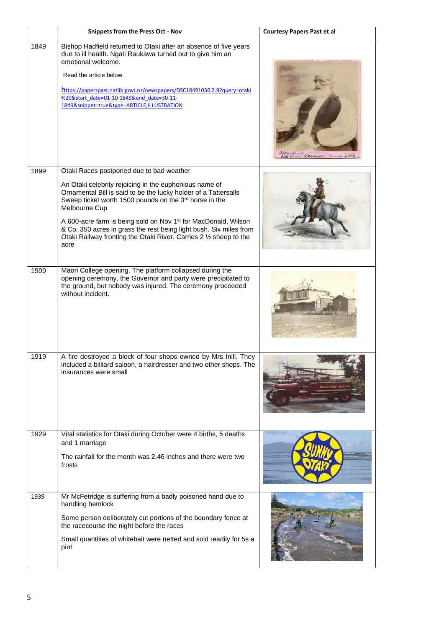|      | <b>Snippets from the Press Oct - Nov</b>                                                                                                                                                                                                                                                                                                                                                                                                                                           | <b>Courtesy Papers Past et al</b> |
|------|------------------------------------------------------------------------------------------------------------------------------------------------------------------------------------------------------------------------------------------------------------------------------------------------------------------------------------------------------------------------------------------------------------------------------------------------------------------------------------|-----------------------------------|
| 1849 | Bishop Hadfield returned to Otaki after an absence of five years<br>due to ill health. Ngati Raukawa turned out to give him an<br>emotional welcome.<br>Read the article below.<br>https://paperspast.natlib.govt.nz/newspapers/DSC18491030.2.9?query=otaki<br>%20&start_date=01-10-1849&end_date=30-11-<br>1849&snippet=true&type=ARTICLE,ILLUSTRATION                                                                                                                            |                                   |
| 1899 | Otaki Races postponed due to bad weather<br>An Otaki celebrity rejoicing in the euphonious name of<br>Ornamental Bill is said to be the lucky holder of a Tattersalls<br>Sweep ticket worth 1500 pounds on the 3rd horse in the<br>Melbourne Cup<br>A 600-acre farm is being sold on Nov 1 <sup>st</sup> for MacDonald, Wilson<br>& Co. 350 acres in grass the rest being light bush. Six miles from<br>Otaki Railway fronting the Otaki River. Carries 2 1/2 sheep to the<br>acre |                                   |
| 1909 | Maori College opening. The platform collapsed during the<br>opening ceremony, the Governor and party were precipitated to<br>the ground, but nobody was injured. The ceremony proceeded<br>without incident.                                                                                                                                                                                                                                                                       |                                   |
| 1919 | A fire destroyed a block of four shops owned by Mrs Inill. They<br>included a billiard saloon, a hairdresser and two other shops. The<br>insurances were small                                                                                                                                                                                                                                                                                                                     |                                   |
| 1929 | Vital statistics for Otaki during October were 4 births, 5 deaths<br>and 1 marriage<br>The rainfall for the month was 2.46 inches and there were two<br>frosts                                                                                                                                                                                                                                                                                                                     |                                   |
| 1939 | Mr McFetridge is suffering from a badly poisoned hand due to<br>handling hemlock<br>Some person deliberately cut portions of the boundary fence at<br>the racecourse the night before the races<br>Small quantities of whitebait were netted and sold readily for 5s a<br>pint                                                                                                                                                                                                     |                                   |